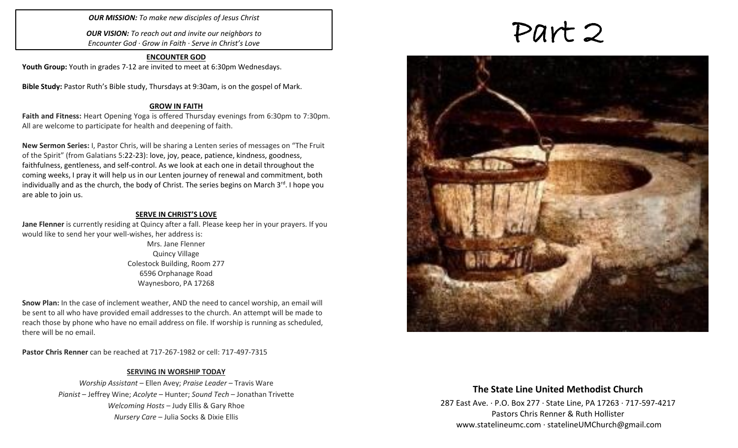## *OUR MISSION: To make new disciples of Jesus Christ*

*OUR VISION: To reach out and invite our neighbors to Encounter God · Grow in Faith · Serve in Christ's Love*

**ENCOUNTER GOD Youth Group:** Youth in grades 7-12 are invited to meet at 6:30pm Wednesdays.

**Bible Study:** Pastor Ruth's Bible study, Thursdays at 9:30am, is on the gospel of Mark.

## **GROW IN FAITH**

**Faith and Fitness:** Heart Opening Yoga is offered Thursday evenings from 6:30pm to 7:30pm. All are welcome to participate for health and deepening of faith.

**New Sermon Series:** I, Pastor Chris, will be sharing a Lenten series of messages on "The Fruit of the Spirit" (from Galatians 5:22-23): love, joy, peace, patience, kindness, goodness, faithfulness, gentleness, and self-control. As we look at each one in detail throughout the coming weeks, I pray it will help us in our Lenten journey of renewal and commitment, both individually and as the church, the body of Christ. The series begins on March  $3<sup>rd</sup>$ . I hope you are able to join us.

## **SERVE IN CHRIST'S LOVE**

**Jane Flenner** is currently residing at Quincy after a fall. Please keep her in your prayers. If you would like to send her your well-wishes, her address is:

> Mrs. Jane Flenner Quincy Village Colestock Building, Room 277 6596 Orphanage Road Waynesboro, PA 17268

**Snow Plan:** In the case of inclement weather, AND the need to cancel worship, an email will be sent to all who have provided email addresses to the church. An attempt will be made to reach those by phone who have no email address on file. If worship is running as scheduled, there will be no email.

**Pastor Chris Renner** can be reached at 717-267-1982 or cell: 717-497-7315

## **SERVING IN WORSHIP TODAY**

*Worship Assistant* – Ellen Avey; *Praise Leader* – Travis Ware *Pianist* – Jeffrey Wine; *Acolyte* – Hunter; *Sound Tech* – Jonathan Trivette *Welcoming Hosts* – Judy Ellis & Gary Rhoe *Nursery Care* – Julia Socks & Dixie Ellis

# Part 2



## **The State Line United Methodist Church**

287 East Ave. · P.O. Box 277 · State Line, PA 17263 · 717-597-4217 Pastors Chris Renner & Ruth Hollister [www.statelineumc.com](http://www.statelineumc.com/) · statelineUMChurch@gmail.com